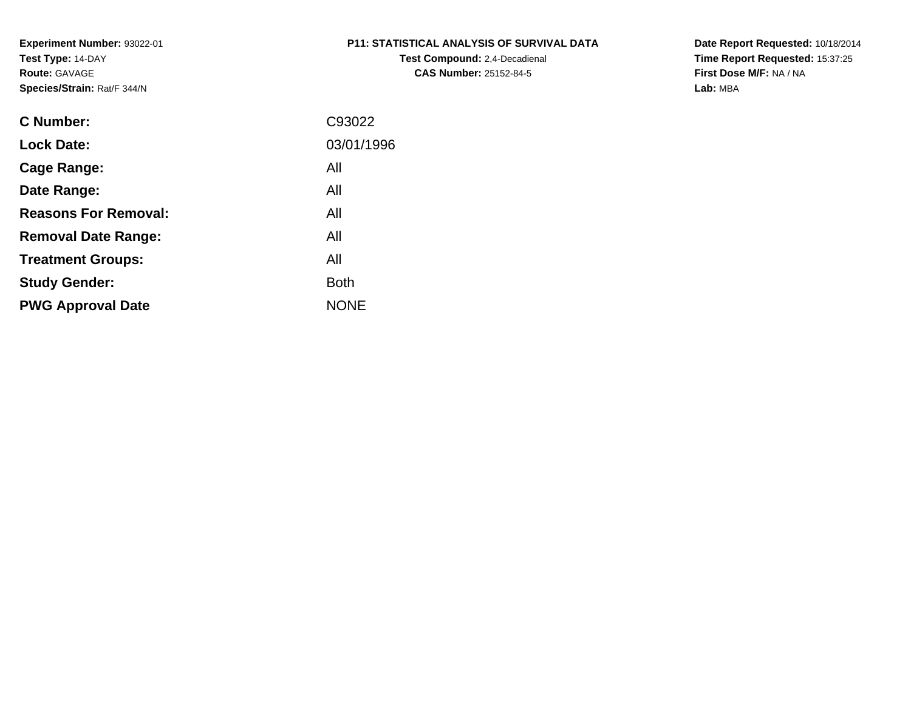# **P11: STATISTICAL ANALYSIS OF SURVIVAL DATA**

**Test Compound:** 2,4-Decadienal **CAS Number:** 25152-84-5

**Date Report Requested:** 10/18/2014 **Time Report Requested:** 15:37:25**First Dose M/F:** NA / NA**Lab:** MBA

| <b>C</b> Number:            | C93022      |
|-----------------------------|-------------|
| <b>Lock Date:</b>           | 03/01/1996  |
| Cage Range:                 | All         |
| Date Range:                 | All         |
| <b>Reasons For Removal:</b> | All         |
| <b>Removal Date Range:</b>  | All         |
| <b>Treatment Groups:</b>    | All         |
| <b>Study Gender:</b>        | <b>Both</b> |
| <b>PWG Approval Date</b>    | <b>NONE</b> |
|                             |             |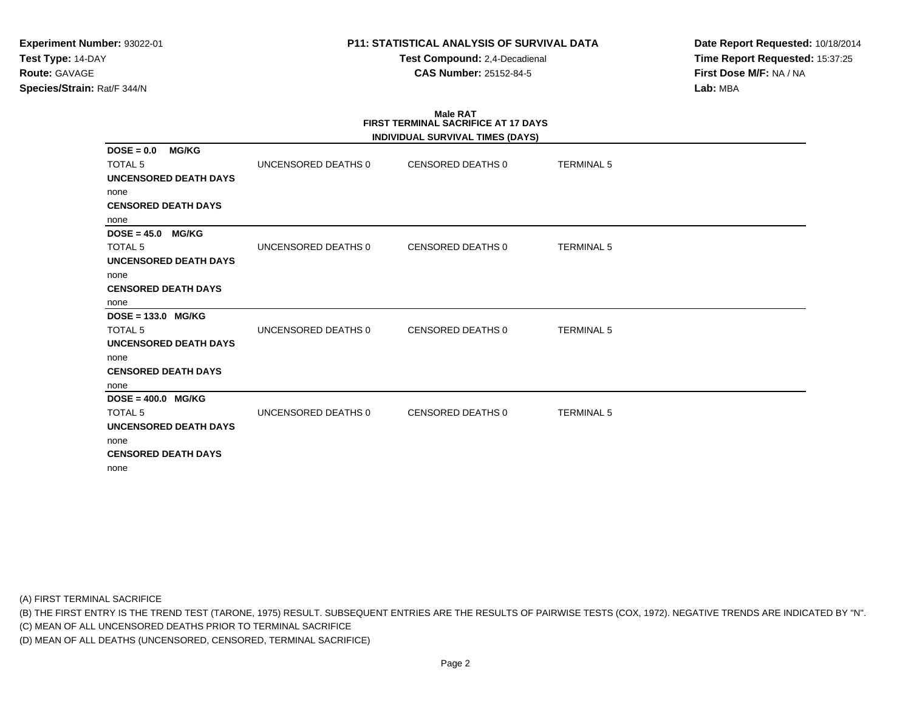**Test Compound:** 2,4-Decadienal **CAS Number:** 25152-84-5

**Date Report Requested:** 10/18/2014**Time Report Requested:** 15:37:25**First Dose M/F:** NA / NA**Lab:** MBA

#### **Male RAT FIRST TERMINAL SACRIFICE AT 17 DAYSINDIVIDUAL SURVIVAL TIMES (DAYS)**

|                                                                                                                      |                     | INDIVIDUAL SURVIVAL TIMES (DAYS) |                   |
|----------------------------------------------------------------------------------------------------------------------|---------------------|----------------------------------|-------------------|
| <b>MG/KG</b><br>$DOSE = 0.0$<br><b>TOTAL 5</b><br><b>UNCENSORED DEATH DAYS</b><br>none                               | UNCENSORED DEATHS 0 | CENSORED DEATHS 0                | <b>TERMINAL 5</b> |
| <b>CENSORED DEATH DAYS</b><br>none                                                                                   |                     |                                  |                   |
| $DOSE = 45.0$ MG/KG<br><b>TOTAL 5</b><br><b>UNCENSORED DEATH DAYS</b><br>none                                        | UNCENSORED DEATHS 0 | CENSORED DEATHS 0                | <b>TERMINAL 5</b> |
| <b>CENSORED DEATH DAYS</b><br>none                                                                                   |                     |                                  |                   |
| $DOSE = 133.0$ MG/KG<br><b>TOTAL 5</b><br><b>UNCENSORED DEATH DAYS</b><br>none<br><b>CENSORED DEATH DAYS</b><br>none | UNCENSORED DEATHS 0 | <b>CENSORED DEATHS 0</b>         | <b>TERMINAL 5</b> |
| $DOSE = 400.0$ MG/KG<br><b>TOTAL 5</b><br><b>UNCENSORED DEATH DAYS</b><br>none<br><b>CENSORED DEATH DAYS</b><br>none | UNCENSORED DEATHS 0 | <b>CENSORED DEATHS 0</b>         | <b>TERMINAL 5</b> |

(A) FIRST TERMINAL SACRIFICE

(B) THE FIRST ENTRY IS THE TREND TEST (TARONE, 1975) RESULT. SUBSEQUENT ENTRIES ARE THE RESULTS OF PAIRWISE TESTS (COX, 1972). NEGATIVE TRENDS ARE INDICATED BY "N".

(C) MEAN OF ALL UNCENSORED DEATHS PRIOR TO TERMINAL SACRIFICE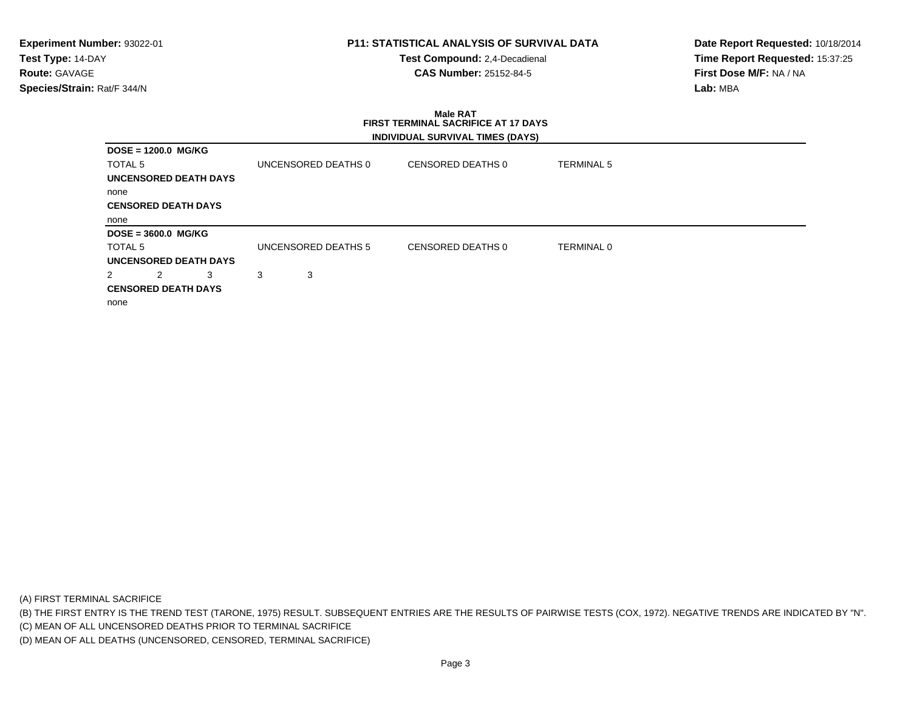**Test Compound:** 2,4-Decadienal **CAS Number:** 25152-84-5

**Date Report Requested:** 10/18/2014**Time Report Requested:** 15:37:25**First Dose M/F:** NA / NA**Lab:** MBA

# **Male RAT FIRST TERMINAL SACRIFICE AT 17 DAYSINDIVIDUAL SURVIVAL TIMES (DAYS)**

| DOSE = 1200.0 MG/KG          |                     |                   |                   |
|------------------------------|---------------------|-------------------|-------------------|
| TOTAL 5                      | UNCENSORED DEATHS 0 | CENSORED DEATHS 0 | <b>TERMINAL 5</b> |
| <b>UNCENSORED DEATH DAYS</b> |                     |                   |                   |
| none                         |                     |                   |                   |
| <b>CENSORED DEATH DAYS</b>   |                     |                   |                   |
| none                         |                     |                   |                   |
| $DOSE = 3600.0$ MG/KG        |                     |                   |                   |
| TOTAL 5                      | UNCENSORED DEATHS 5 | CENSORED DEATHS 0 | <b>TERMINAL 0</b> |
| <b>UNCENSORED DEATH DAYS</b> |                     |                   |                   |
| 2<br>2<br>3                  | 3<br>3              |                   |                   |
| <b>CENSORED DEATH DAYS</b>   |                     |                   |                   |
| none                         |                     |                   |                   |

(A) FIRST TERMINAL SACRIFICE

(B) THE FIRST ENTRY IS THE TREND TEST (TARONE, 1975) RESULT. SUBSEQUENT ENTRIES ARE THE RESULTS OF PAIRWISE TESTS (COX, 1972). NEGATIVE TRENDS ARE INDICATED BY "N".

(C) MEAN OF ALL UNCENSORED DEATHS PRIOR TO TERMINAL SACRIFICE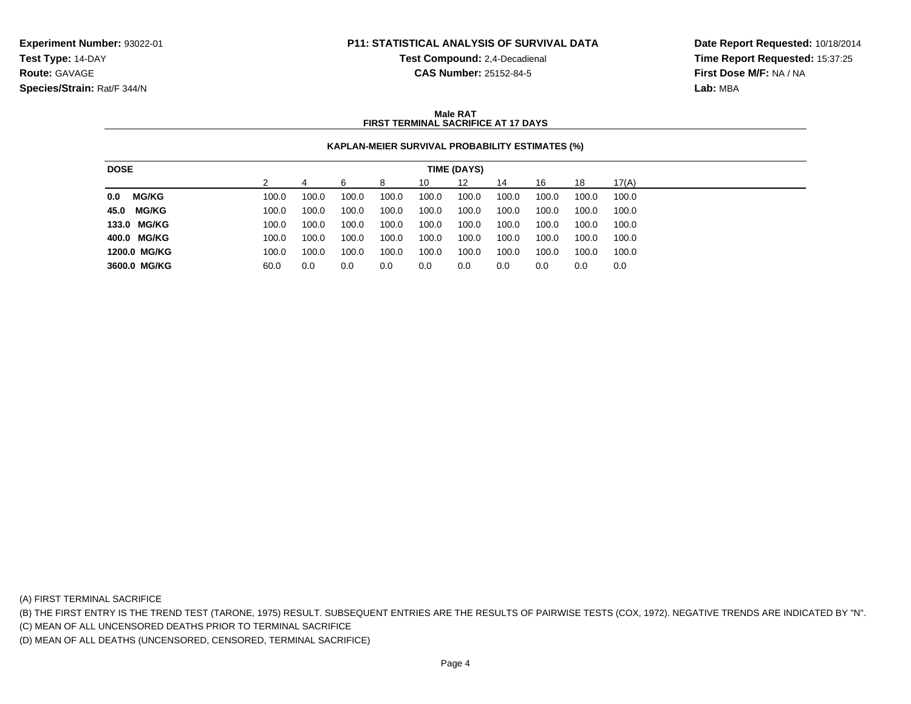**Test Compound:** 2,4-Decadienal **CAS Number:** 25152-84-5

**Date Report Requested:** 10/18/2014**Time Report Requested:** 15:37:25**First Dose M/F:** NA / NA**Lab:** MBA

### **Male RATFIRST TERMINAL SACRIFICE AT 17 DAYS**

# **KAPLAN-MEIER SURVIVAL PROBABILITY ESTIMATES (%)**

| <b>DOSE</b>          |       |       |       |       |       | TIME (DAYS) |       |       |       |       |
|----------------------|-------|-------|-------|-------|-------|-------------|-------|-------|-------|-------|
|                      |       |       | 6     | 8     | 10    | 12          | 14    | 16    | 18    | 17(A) |
| <b>MG/KG</b><br>0.0  | 100.0 | 100.0 | 100.0 | 100.0 | 100.0 | 100.0       | 100.0 | 100.0 | 100.0 | 100.0 |
| <b>MG/KG</b><br>45.0 | 100.0 | 100.0 | 100.0 | 100.0 | 100.0 | 100.0       | 100.0 | 100.0 | 100.0 | 100.0 |
| 133.0 MG/KG          | 100.0 | 100.0 | 100.0 | 100.0 | 100.0 | 100.0       | 100.0 | 100.0 | 100.0 | 100.0 |
| 400.0 MG/KG          | 100.0 | 100.0 | 100.0 | 100.0 | 100.0 | 100.0       | 100.0 | 100.0 | 100.0 | 100.0 |
| 1200.0 MG/KG         | 100.0 | 100.0 | 100.0 | 100.0 | 100.0 | 100.0       | 100.0 | 100.0 | 100.0 | 100.0 |
| 3600.0 MG/KG         | 60.0  | 0.0   | 0.0   | 0.0   | 0.0   | 0.0         | 0.0   | 0.0   | 0.0   | 0.0   |

(A) FIRST TERMINAL SACRIFICE

(B) THE FIRST ENTRY IS THE TREND TEST (TARONE, 1975) RESULT. SUBSEQUENT ENTRIES ARE THE RESULTS OF PAIRWISE TESTS (COX, 1972). NEGATIVE TRENDS ARE INDICATED BY "N".

(C) MEAN OF ALL UNCENSORED DEATHS PRIOR TO TERMINAL SACRIFICE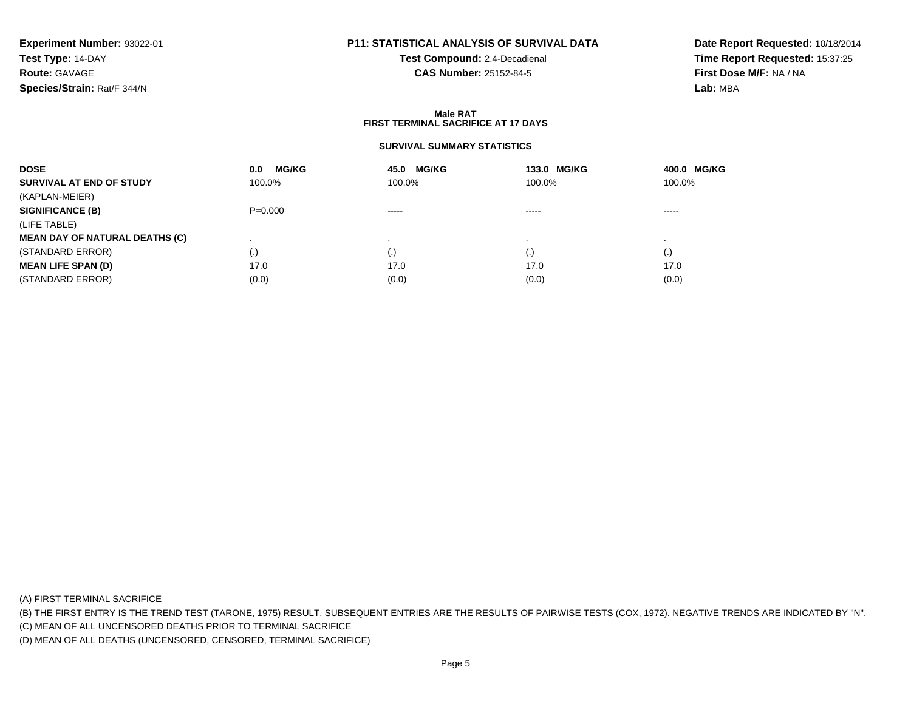# **P11: STATISTICAL ANALYSIS OF SURVIVAL DATA**

**Test Compound:** 2,4-Decadienal **CAS Number:** 25152-84-5

**Date Report Requested:** 10/18/2014**Time Report Requested:** 15:37:25**First Dose M/F:** NA / NA**Lab:** MBA

#### **Male RATFIRST TERMINAL SACRIFICE AT 17 DAYS**

# **SURVIVAL SUMMARY STATISTICS**

| <b>DOSE</b>                           | <b>MG/KG</b><br>0.0 | 45.0 MG/KG  | 133.0 MG/KG | 400.0 MG/KG |  |
|---------------------------------------|---------------------|-------------|-------------|-------------|--|
| SURVIVAL AT END OF STUDY              | 100.0%              | 100.0%      | 100.0%      | 100.0%      |  |
| (KAPLAN-MEIER)                        |                     |             |             |             |  |
| <b>SIGNIFICANCE (B)</b>               | $P = 0.000$         | $- - - - -$ | $\cdots$    | $\cdots$    |  |
| (LIFE TABLE)                          |                     |             |             |             |  |
| <b>MEAN DAY OF NATURAL DEATHS (C)</b> |                     |             |             |             |  |
| (STANDARD ERROR)                      | (.)                 | (.)         |             | $\cdot$ )   |  |
| <b>MEAN LIFE SPAN (D)</b>             | 17.0                | 17.0        | 17.0        | 17.0        |  |
| (STANDARD ERROR)                      | (0.0)               | (0.0)       | (0.0)       | (0.0)       |  |

(A) FIRST TERMINAL SACRIFICE

(B) THE FIRST ENTRY IS THE TREND TEST (TARONE, 1975) RESULT. SUBSEQUENT ENTRIES ARE THE RESULTS OF PAIRWISE TESTS (COX, 1972). NEGATIVE TRENDS ARE INDICATED BY "N".

(C) MEAN OF ALL UNCENSORED DEATHS PRIOR TO TERMINAL SACRIFICE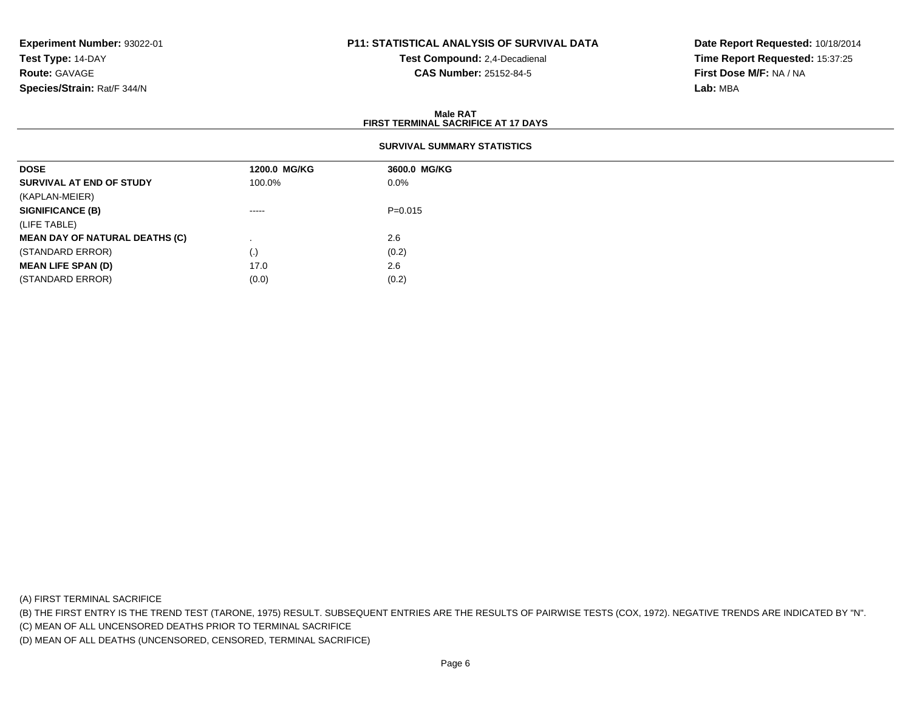# **P11: STATISTICAL ANALYSIS OF SURVIVAL DATA**

**Test Compound:** 2,4-Decadienal **CAS Number:** 25152-84-5

**Date Report Requested:** 10/18/2014**Time Report Requested:** 15:37:25**First Dose M/F:** NA / NA**Lab:** MBA

#### **Male RATFIRST TERMINAL SACRIFICE AT 17 DAYS**

| <b>DOSE</b>                           | 1200.0 MG/KG                                                                                                                                                                                                                                                                                                                                                                                                                                                                           | 3600.0 MG/KG |
|---------------------------------------|----------------------------------------------------------------------------------------------------------------------------------------------------------------------------------------------------------------------------------------------------------------------------------------------------------------------------------------------------------------------------------------------------------------------------------------------------------------------------------------|--------------|
| SURVIVAL AT END OF STUDY              | 100.0%                                                                                                                                                                                                                                                                                                                                                                                                                                                                                 | $0.0\%$      |
| (KAPLAN-MEIER)                        |                                                                                                                                                                                                                                                                                                                                                                                                                                                                                        |              |
| <b>SIGNIFICANCE (B)</b>               | $\begin{array}{cccccccccccccc} \multicolumn{2}{c}{} & \multicolumn{2}{c}{} & \multicolumn{2}{c}{} & \multicolumn{2}{c}{} & \multicolumn{2}{c}{} & \multicolumn{2}{c}{} & \multicolumn{2}{c}{} & \multicolumn{2}{c}{} & \multicolumn{2}{c}{} & \multicolumn{2}{c}{} & \multicolumn{2}{c}{} & \multicolumn{2}{c}{} & \multicolumn{2}{c}{} & \multicolumn{2}{c}{} & \multicolumn{2}{c}{} & \multicolumn{2}{c}{} & \multicolumn{2}{c}{} & \multicolumn{2}{c}{} & \multicolumn{2}{c}{} & \$ | $P=0.015$    |
| (LIFE TABLE)                          |                                                                                                                                                                                                                                                                                                                                                                                                                                                                                        |              |
| <b>MEAN DAY OF NATURAL DEATHS (C)</b> |                                                                                                                                                                                                                                                                                                                                                                                                                                                                                        | 2.6          |
| (STANDARD ERROR)                      | (.)                                                                                                                                                                                                                                                                                                                                                                                                                                                                                    | (0.2)        |
| <b>MEAN LIFE SPAN (D)</b>             | 17.0                                                                                                                                                                                                                                                                                                                                                                                                                                                                                   | 2.6          |
| (STANDARD ERROR)                      | (0.0)                                                                                                                                                                                                                                                                                                                                                                                                                                                                                  | (0.2)        |

(A) FIRST TERMINAL SACRIFICE

(B) THE FIRST ENTRY IS THE TREND TEST (TARONE, 1975) RESULT. SUBSEQUENT ENTRIES ARE THE RESULTS OF PAIRWISE TESTS (COX, 1972). NEGATIVE TRENDS ARE INDICATED BY "N".

(C) MEAN OF ALL UNCENSORED DEATHS PRIOR TO TERMINAL SACRIFICE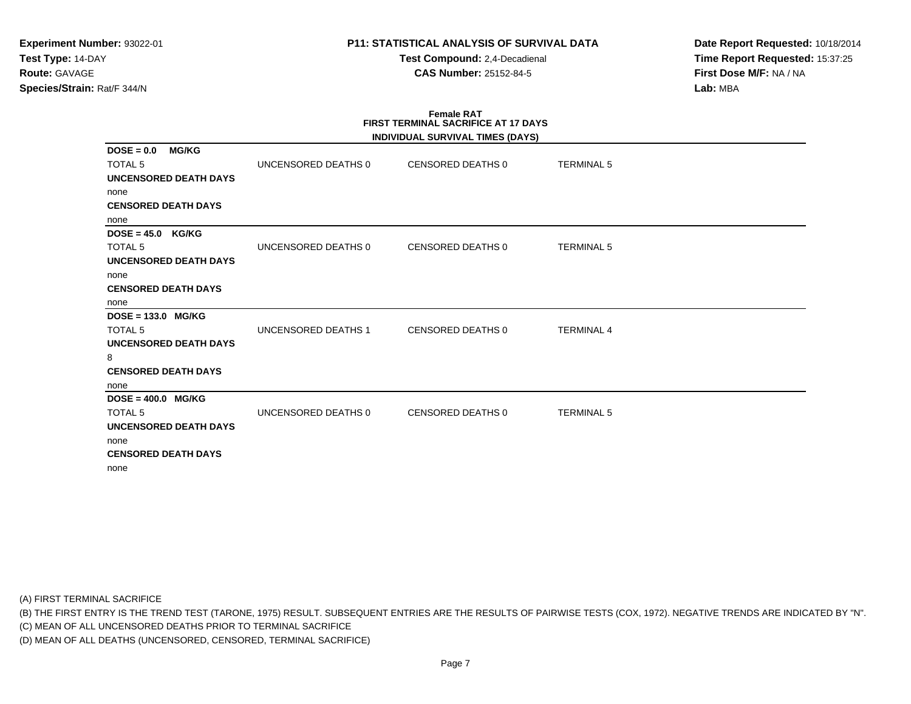**Test Compound:** 2,4-Decadienal **CAS Number:** 25152-84-5

**Date Report Requested:** 10/18/2014**Time Report Requested:** 15:37:25**First Dose M/F:** NA / NA**Lab:** MBA

#### **Female RAT FIRST TERMINAL SACRIFICE AT 17 DAYSINDIVIDUAL SURVIVAL TIMES (DAYS)**

|                                                |                     | <b>INDIVIDUAL SURVIVAL TIMES (DATS)</b> |                   |  |
|------------------------------------------------|---------------------|-----------------------------------------|-------------------|--|
| <b>MG/KG</b><br>$DOSE = 0.0$<br><b>TOTAL 5</b> | UNCENSORED DEATHS 0 | CENSORED DEATHS 0                       | <b>TERMINAL 5</b> |  |
| UNCENSORED DEATH DAYS                          |                     |                                         |                   |  |
| none                                           |                     |                                         |                   |  |
| <b>CENSORED DEATH DAYS</b>                     |                     |                                         |                   |  |
| none                                           |                     |                                         |                   |  |
| $DOSE = 45.0$ KG/KG                            |                     |                                         |                   |  |
| <b>TOTAL 5</b>                                 | UNCENSORED DEATHS 0 | CENSORED DEATHS 0                       | <b>TERMINAL 5</b> |  |
| UNCENSORED DEATH DAYS                          |                     |                                         |                   |  |
| none                                           |                     |                                         |                   |  |
| <b>CENSORED DEATH DAYS</b>                     |                     |                                         |                   |  |
| none                                           |                     |                                         |                   |  |
| $DOSE = 133.0$ MG/KG                           |                     |                                         |                   |  |
| TOTAL <sub>5</sub>                             | UNCENSORED DEATHS 1 | CENSORED DEATHS 0                       | <b>TERMINAL 4</b> |  |
| <b>UNCENSORED DEATH DAYS</b>                   |                     |                                         |                   |  |
| 8                                              |                     |                                         |                   |  |
| <b>CENSORED DEATH DAYS</b>                     |                     |                                         |                   |  |
| none                                           |                     |                                         |                   |  |
| $DOSE = 400.0$ MG/KG                           |                     |                                         |                   |  |
| TOTAL <sub>5</sub>                             | UNCENSORED DEATHS 0 | CENSORED DEATHS 0                       | <b>TERMINAL 5</b> |  |
| UNCENSORED DEATH DAYS                          |                     |                                         |                   |  |
| none                                           |                     |                                         |                   |  |
| <b>CENSORED DEATH DAYS</b>                     |                     |                                         |                   |  |
| none                                           |                     |                                         |                   |  |

(A) FIRST TERMINAL SACRIFICE

(B) THE FIRST ENTRY IS THE TREND TEST (TARONE, 1975) RESULT. SUBSEQUENT ENTRIES ARE THE RESULTS OF PAIRWISE TESTS (COX, 1972). NEGATIVE TRENDS ARE INDICATED BY "N".

(C) MEAN OF ALL UNCENSORED DEATHS PRIOR TO TERMINAL SACRIFICE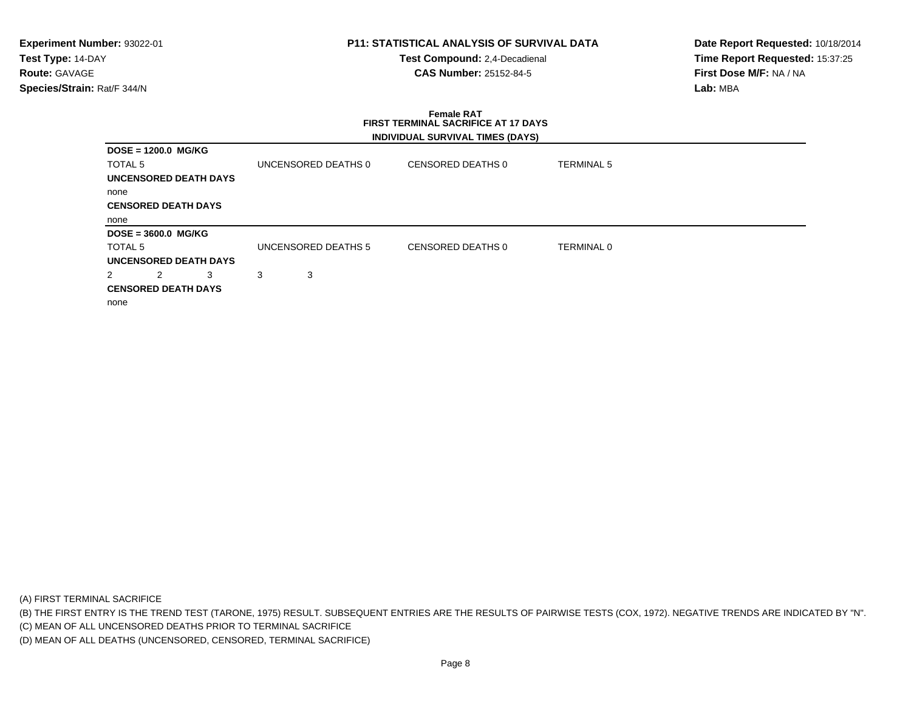**Test Compound:** 2,4-Decadienal **CAS Number:** 25152-84-5

**Date Report Requested:** 10/18/2014**Time Report Requested:** 15:37:25**First Dose M/F:** NA / NA**Lab:** MBA

# **Female RAT FIRST TERMINAL SACRIFICE AT 17 DAYSINDIVIDUAL SURVIVAL TIMES (DAYS)**

|         | DOSE = 1200.0 MG/KG        |                              |   |                     |                   |                   |  |
|---------|----------------------------|------------------------------|---|---------------------|-------------------|-------------------|--|
| TOTAL 5 |                            |                              |   | UNCENSORED DEATHS 0 | CENSORED DEATHS 0 | <b>TERMINAL 5</b> |  |
|         |                            | UNCENSORED DEATH DAYS        |   |                     |                   |                   |  |
| none    |                            |                              |   |                     |                   |                   |  |
|         | <b>CENSORED DEATH DAYS</b> |                              |   |                     |                   |                   |  |
| none    |                            |                              |   |                     |                   |                   |  |
|         | DOSE = 3600.0 MG/KG        |                              |   |                     |                   |                   |  |
| TOTAL 5 |                            |                              |   | UNCENSORED DEATHS 5 | CENSORED DEATHS 0 | <b>TERMINAL 0</b> |  |
|         |                            | <b>UNCENSORED DEATH DAYS</b> |   |                     |                   |                   |  |
|         | 2                          | 3                            | 3 | 3                   |                   |                   |  |
|         | <b>CENSORED DEATH DAYS</b> |                              |   |                     |                   |                   |  |
| none    |                            |                              |   |                     |                   |                   |  |
|         |                            |                              |   |                     |                   |                   |  |

(A) FIRST TERMINAL SACRIFICE

(B) THE FIRST ENTRY IS THE TREND TEST (TARONE, 1975) RESULT. SUBSEQUENT ENTRIES ARE THE RESULTS OF PAIRWISE TESTS (COX, 1972). NEGATIVE TRENDS ARE INDICATED BY "N".

(C) MEAN OF ALL UNCENSORED DEATHS PRIOR TO TERMINAL SACRIFICE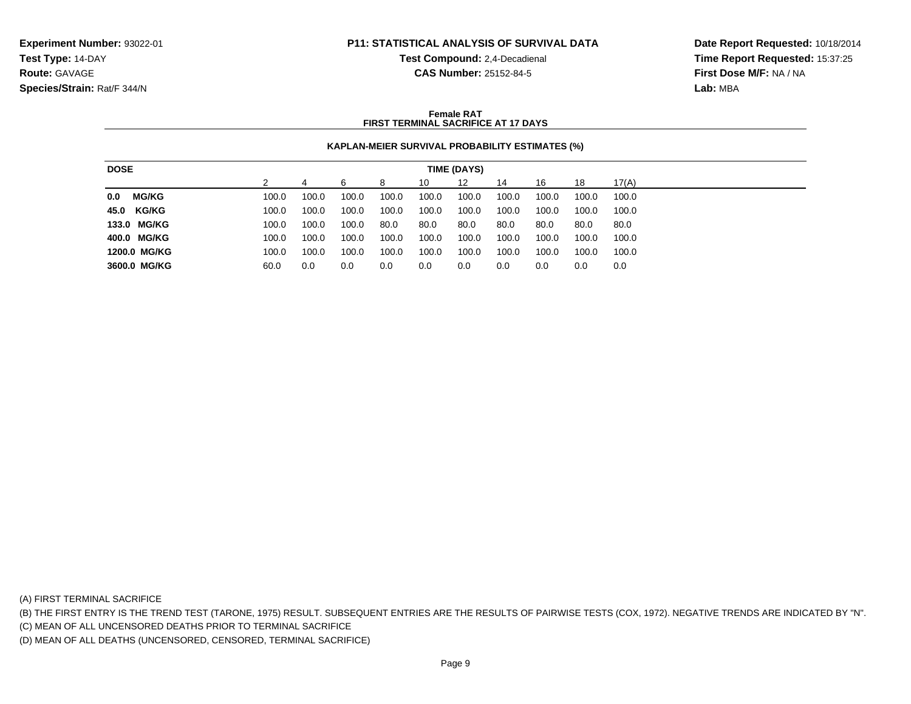**Test Compound:** 2,4-Decadienal

**Date Report Requested:** 10/18/2014**Time Report Requested:** 15:37:25**First Dose M/F:** NA / NA**Lab:** MBA

# **CAS Number:** 25152-84-5

#### **Female RATFIRST TERMINAL SACRIFICE AT 17 DAYS**

# **KAPLAN-MEIER SURVIVAL PROBABILITY ESTIMATES (%)**

| <b>DOSE</b> |              |       |       |       |       |       | TIME (DAYS) |       |       |       |       |
|-------------|--------------|-------|-------|-------|-------|-------|-------------|-------|-------|-------|-------|
|             |              |       |       | ൳     | 8     | 10    | 12          | 14    | 16    | 18    | 17(A) |
| 0.0         | <b>MG/KG</b> | 100.0 | 100.0 | 100.0 | 100.0 | 100.0 | 100.0       | 100.0 | 100.0 | 100.0 | 100.0 |
| 45.0 KG/KG  |              | 100.0 | 100.0 | 100.0 | 100.0 | 100.0 | 100.0       | 100.0 | 100.0 | 100.0 | 100.0 |
|             | 133.0 MG/KG  | 100.0 | 100.0 | 100.0 | 80.0  | 80.0  | 80.0        | 80.0  | 80.0  | 80.0  | 80.0  |
|             | 400.0 MG/KG  | 100.0 | 100.0 | 100.0 | 100.0 | 100.0 | 100.0       | 100.0 | 100.0 | 100.0 | 100.0 |
|             | 1200.0 MG/KG | 100.0 | 100.0 | 100.0 | 100.0 | 100.0 | 100.0       | 100.0 | 100.0 | 100.0 | 100.0 |
|             | 3600.0 MG/KG | 60.0  | 0.0   | 0.0   | 0.0   | 0.0   | 0.0         | 0.0   | 0.0   | 0.0   | 0.0   |

(A) FIRST TERMINAL SACRIFICE

(B) THE FIRST ENTRY IS THE TREND TEST (TARONE, 1975) RESULT. SUBSEQUENT ENTRIES ARE THE RESULTS OF PAIRWISE TESTS (COX, 1972). NEGATIVE TRENDS ARE INDICATED BY "N".

(C) MEAN OF ALL UNCENSORED DEATHS PRIOR TO TERMINAL SACRIFICE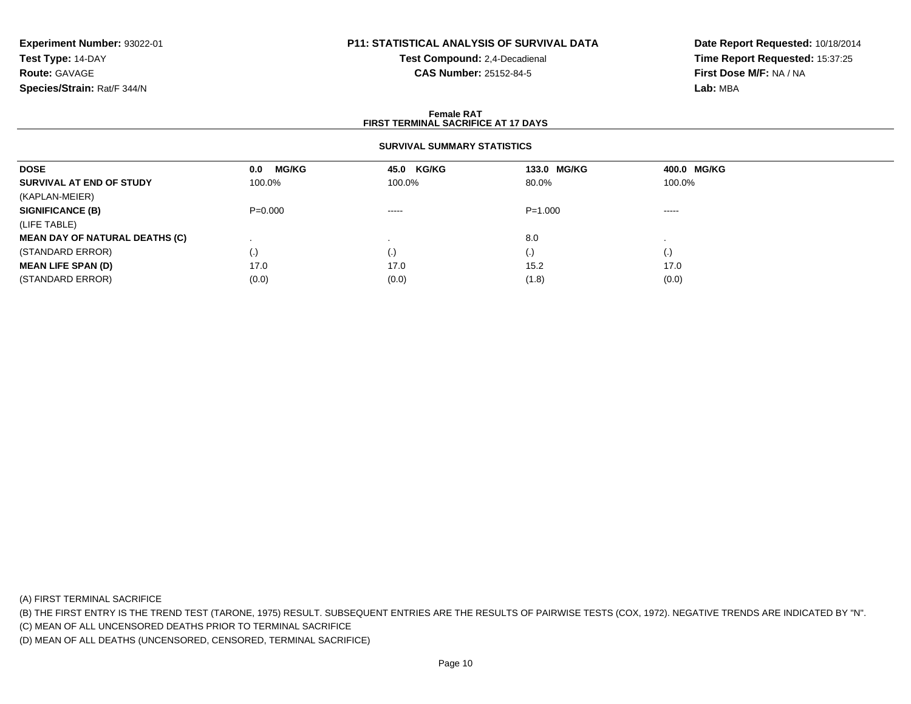# **P11: STATISTICAL ANALYSIS OF SURVIVAL DATA**

**Test Compound:** 2,4-Decadienal **CAS Number:** 25152-84-5

**Date Report Requested:** 10/18/2014**Time Report Requested:** 15:37:25**First Dose M/F:** NA / NA**Lab:** MBA

#### **Female RAT FIRST TERMINAL SACRIFICE AT 17 DAYSSURVIVAL SUMMARY STATISTICSDOSE 0.0 MG/KG 45.0 KG/KG 133.0 MG/KG 400.0 MG/KG SURVIVAL AT END OF STUDY** 100.0% $\%$  100.0% 100.0% 80.0% 100.0% (KAPLAN-MEIER)**SIGNIFICANCE (B)** P=0.000 ----- P=1.000 ----- (LIFE TABLE) **MEAN DAY OF NATURAL DEATHS (C)**) and the set of the set of the set of the set of the set of the set of the set of the set of the set of the set of the set of the set of the set of the set of the set of the set of the set of the set of the set of the se  $\sim$  . The contract of  $\sim$  . (STANDARD ERROR) (.) (.) (.) (.) **MEAN LIFE SPAN (D)** 17.00 17.0 17.0 15.2 15.2 17.0 (STANDARD ERROR)

 $(0.0)$   $(0.0)$   $(0.0)$   $(1.8)$   $(0.0)$ 

(A) FIRST TERMINAL SACRIFICE

(B) THE FIRST ENTRY IS THE TREND TEST (TARONE, 1975) RESULT. SUBSEQUENT ENTRIES ARE THE RESULTS OF PAIRWISE TESTS (COX, 1972). NEGATIVE TRENDS ARE INDICATED BY "N".

(C) MEAN OF ALL UNCENSORED DEATHS PRIOR TO TERMINAL SACRIFICE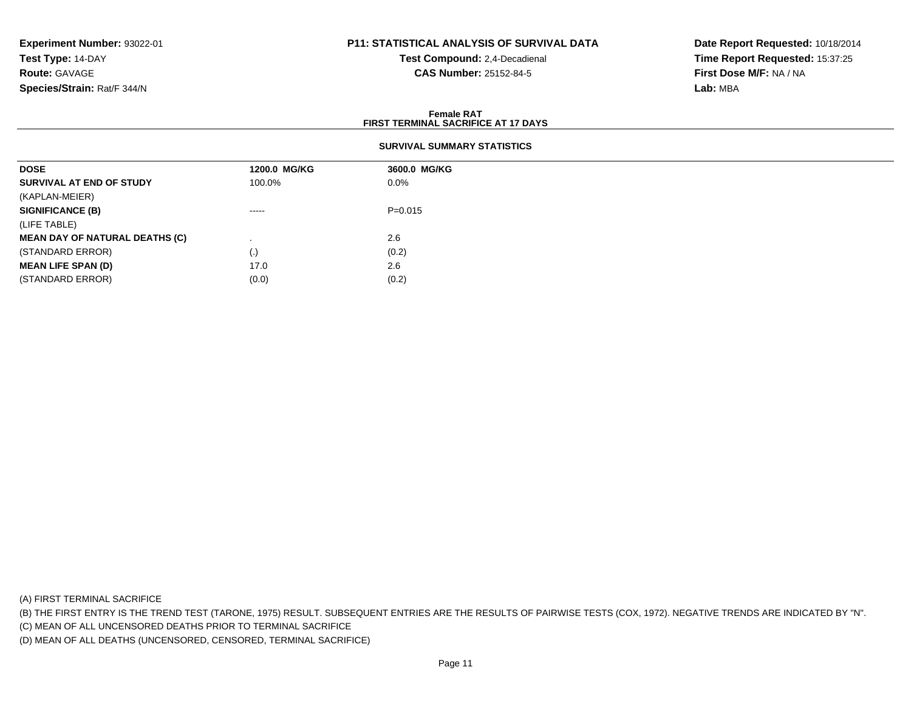# **P11: STATISTICAL ANALYSIS OF SURVIVAL DATA**

**Test Compound:** 2,4-Decadienal **CAS Number:** 25152-84-5

**Date Report Requested:** 10/18/2014**Time Report Requested:** 15:37:25**First Dose M/F:** NA / NA**Lab:** MBA

#### **Female RATFIRST TERMINAL SACRIFICE AT 17 DAYS**

| <b>DOSE</b>                           | 1200.0 MG/KG | 3600.0 MG/KG |
|---------------------------------------|--------------|--------------|
| SURVIVAL AT END OF STUDY              | 100.0%       | $0.0\%$      |
| (KAPLAN-MEIER)                        |              |              |
| <b>SIGNIFICANCE (B)</b>               | $- - - - -$  | $P = 0.015$  |
| (LIFE TABLE)                          |              |              |
| <b>MEAN DAY OF NATURAL DEATHS (C)</b> |              | 2.6          |
| (STANDARD ERROR)                      | (.)          | (0.2)        |
| <b>MEAN LIFE SPAN (D)</b>             | 17.0         | 2.6          |
| (STANDARD ERROR)                      | (0.0)        | (0.2)        |

(A) FIRST TERMINAL SACRIFICE

(B) THE FIRST ENTRY IS THE TREND TEST (TARONE, 1975) RESULT. SUBSEQUENT ENTRIES ARE THE RESULTS OF PAIRWISE TESTS (COX, 1972). NEGATIVE TRENDS ARE INDICATED BY "N".

(C) MEAN OF ALL UNCENSORED DEATHS PRIOR TO TERMINAL SACRIFICE